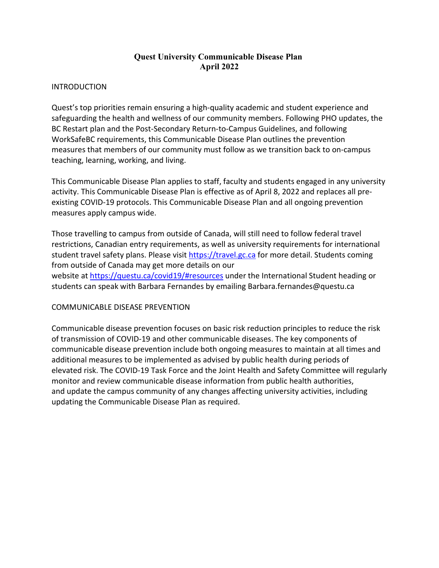# **Quest University Communicable Disease Plan April 2022**

#### INTRODUCTION

Quest's top priorities remain ensuring a high-quality academic and student experience and safeguarding the health and wellness of our community members. Following PHO updates, the BC Restart plan and the Post-Secondary Return-to-Campus Guidelines, and following WorkSafeBC requirements, this Communicable Disease Plan outlines the prevention measures that members of our community must follow as we transition back to on-campus teaching, learning, working, and living.

This Communicable Disease Plan applies to staff, faculty and students engaged in any university activity. This Communicable Disease Plan is effective as of April 8, 2022 and replaces all preexisting COVID-19 protocols. This Communicable Disease Plan and all ongoing prevention measures apply campus wide.

Those travelling to campus from outside of Canada, will still need to follow federal travel restrictions, Canadian entry requirements, as well as university requirements for international student travel safety plans. Please visit [https://travel.gc.ca](https://travel.gc.ca/) for more detail. Students coming from outside of Canada may get more details on our website at <https://questu.ca/covid19/#resources> under the International Student heading or students can speak with Barbara Fernandes by emailing Barbara.fernandes@questu.ca

#### COMMUNICABLE DISEASE PREVENTION

Communicable disease prevention focuses on basic risk reduction principles to reduce the risk of transmission of COVID-19 and other communicable diseases. The key components of communicable disease prevention include both ongoing measures to maintain at all times and additional measures to be implemented as advised by public health during periods of elevated risk. The COVID-19 Task Force and the Joint Health and Safety Committee will regularly monitor and review communicable disease information from public health authorities, and update the campus community of any changes affecting university activities, including updating the Communicable Disease Plan as required.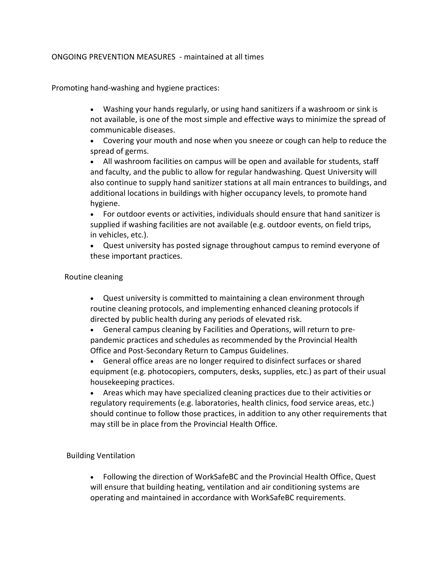### ONGOING PREVENTION MEASURES - maintained at all times

Promoting hand-washing and hygiene practices:

• Washing your hands regularly, or using hand sanitizers if a washroom or sink is not available, is one of the most simple and effective ways to minimize the spread of communicable diseases.

• Covering your mouth and nose when you sneeze or cough can help to reduce the spread of germs.

• All washroom facilities on campus will be open and available for students, staff and faculty, and the public to allow for regular handwashing. Quest University will also continue to supply hand sanitizer stations at all main entrances to buildings, and additional locations in buildings with higher occupancy levels, to promote hand hygiene.

• For outdoor events or activities, individuals should ensure that hand sanitizer is supplied if washing facilities are not available (e.g. outdoor events, on field trips, in vehicles, etc.).

• Quest university has posted signage throughout campus to remind everyone of these important practices.

#### Routine cleaning

• Quest university is committed to maintaining a clean environment through routine cleaning protocols, and implementing enhanced cleaning protocols if directed by public health during any periods of elevated risk.

• General campus cleaning by Facilities and Operations, will return to prepandemic practices and schedules as recommended by the Provincial Health Office and Post-Secondary Return to Campus Guidelines.

• General office areas are no longer required to disinfect surfaces or shared equipment (e.g. photocopiers, computers, desks, supplies, etc.) as part of their usual housekeeping practices.

• Areas which may have specialized cleaning practices due to their activities or regulatory requirements (e.g. laboratories, health clinics, food service areas, etc.) should continue to follow those practices, in addition to any other requirements that may still be in place from the Provincial Health Office.

# Building Ventilation

• Following the direction of WorkSafeBC and the Provincial Health Office, Quest will ensure that building heating, ventilation and air conditioning systems are operating and maintained in accordance with WorkSafeBC requirements.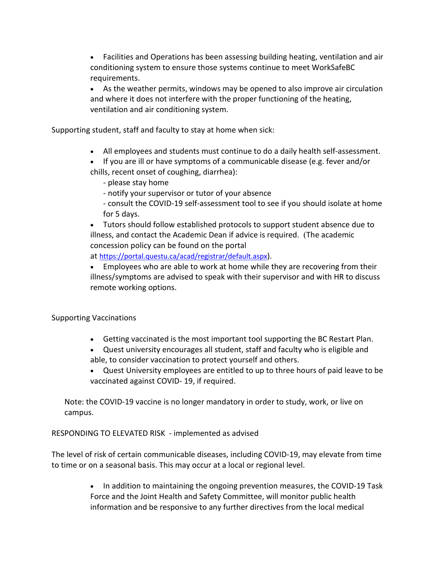• Facilities and Operations has been assessing building heating, ventilation and air conditioning system to ensure those systems continue to meet WorkSafeBC requirements.

• As the weather permits, windows may be opened to also improve air circulation and where it does not interfere with the proper functioning of the heating, ventilation and air conditioning system.

Supporting student, staff and faculty to stay at home when sick:

• All employees and students must continue to do a daily health self-assessment.

• If you are ill or have symptoms of a communicable disease (e.g. fever and/or chills, recent onset of coughing, diarrhea):

- please stay home

- notify your supervisor or tutor of your absence

- consult the COVID-19 self-assessment tool to see if you should isolate at home for 5 days.

• Tutors should follow established protocols to support student absence due to illness, and contact the Academic Dean if advice is required. (The academic concession policy can be found on the portal

at [https://portal.questu.ca/acad/registrar/default.aspx\)](https://portal.questu.ca/acad/registrar/default.aspx).

• Employees who are able to work at home while they are recovering from their illness/symptoms are advised to speak with their supervisor and with HR to discuss remote working options.

# Supporting Vaccinations

- Getting vaccinated is the most important tool supporting the BC Restart Plan.
- Quest university encourages all student, staff and faculty who is eligible and able, to consider vaccination to protect yourself and others.
- Quest University employees are entitled to up to three hours of paid leave to be vaccinated against COVID- 19, if required.

Note: the COVID-19 vaccine is no longer mandatory in order to study, work, or live on campus.

RESPONDING TO ELEVATED RISK - implemented as advised

The level of risk of certain communicable diseases, including COVID-19, may elevate from time to time or on a seasonal basis. This may occur at a local or regional level.

> • In addition to maintaining the ongoing prevention measures, the COVID-19 Task Force and the Joint Health and Safety Committee, will monitor public health information and be responsive to any further directives from the local medical